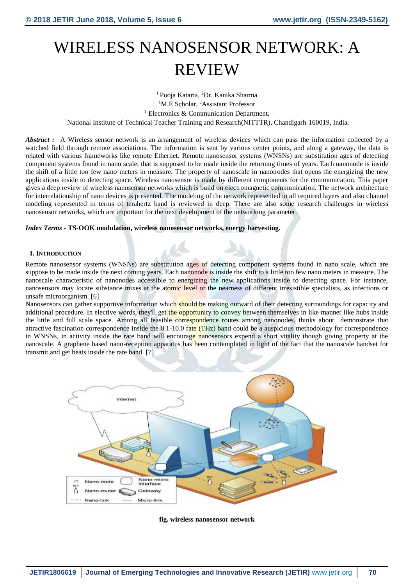# WIRELESS NANOSENSOR NETWORK: A REVIEW

<sup>1</sup>Pooja Kataria, <sup>2</sup>Dr. Kanika Sharma <sup>1</sup>M.E Scholar, <sup>2</sup>Assistant Professor <sup>1</sup> Electronics & Communication Department, <sup>1</sup>National Institute of Technical Teacher Training and Research(NITTTR), Chandigarh-160019, India.

*Abstract* : A Wireless sensor network is an arrangement of wireless devices which can pass the information collected by a watched field through remote associations. The information is sent by various center points, and along a gateway, the data is related with various frameworks like remote Ethernet. Remote nanosensor systems (WNSNs) are substitution ages of detecting component systems found in nano scale, that is supposed to be made inside the returning times of years. Each nanonode is inside the shift of a little too few nano meters in measure. The property of nanoscale in nanonodes that opens the energizing the new applications inside to detecting space. Wireless nanosensor is made by different components for the communication. This paper gives a deep review of wireless nanosensor networks which is build on electromagnetic communication. The network architecture for interrelationship of nano devices is presented. The modeling of the network represented in all required layers and also channel modeling represented in terms of terahertz band is reviewed in deep. There are also some research challenges in wireless nanosensor networks, which are important for the next development of the networking parameter.

## *Index Terms* **- TS-OOK modulation, wireless nanosensor networks, energy harvesting.**

## **I. INTRODUCTION**

Remote nanosensor systems (WNSNs) are substitution ages of detecting component systems found in nano scale, which are suppose to be made inside the next coming years. Each nanonode is inside the shift to a little too few nano meters in measure. The nanoscale characteristic of nanonodes accessible to energizing the new applications inside to detecting space. For instance, nanosensors may locate substance mixes at the atomic level or the nearness of different irresistible specialists, as infections or unsafe microorganism. [6]

Nanosensors can gather supportive information which should be making outward of their detecting surroundings for capacity and additional procedure. In elective words, they'll get the opportunity to convey between themselves in like manner like hubs inside the little and full scale space. Among all feasible correspondence routes among nanonodes, thinks about demonstrate that attractive fascination correspondence inside the  $0.1-10.0$  rate (THz) band could be a auspicious methodology for correspondence in WNSNs, in activity inside the rate band will encourage nanosensors expend a short vitality though giving property at the nanoscale. A graphene based nano-reception apparatus has been contemplated in light of the fact that the nanoscale handset for transmit and get beats inside the rate band. [7].



**fig. wireless nanosensor network**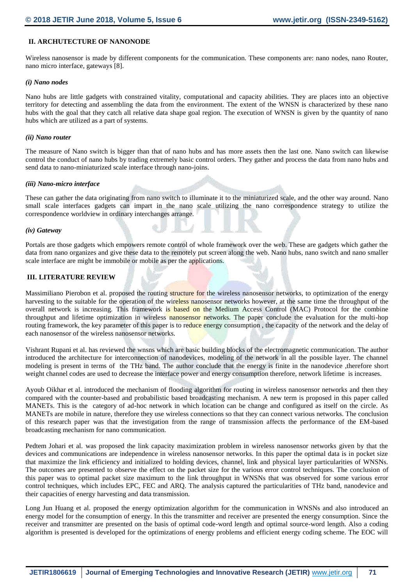# **II. ARCHUTECTURE OF NANONODE**

Wireless nanosensor is made by different components for the communication. These components are: nano nodes, nano Router, nano micro interface, gateways [8].

#### *(i) Nano nodes*

Nano hubs are little gadgets with constrained vitality, computational and capacity abilities. They are places into an objective territory for detecting and assembling the data from the environment. The extent of the WNSN is characterized by these nano hubs with the goal that they catch all relative data shape goal region. The execution of WNSN is given by the quantity of nano hubs which are utilized as a part of systems.

#### *(ii) Nano router*

The measure of Nano switch is bigger than that of nano hubs and has more assets then the last one. Nano switch can likewise control the conduct of nano hubs by trading extremely basic control orders. They gather and process the data from nano hubs and send data to nano-miniaturized scale interface through nano-joins.

#### *(iii) Nano-micro interface*

These can gather the data originating from nano switch to illuminate it to the miniaturized scale, and the other way around. Nano small scale interfaces gadgets can impart in the nano scale utilizing the nano correspondence strategy to utilize the correspondence worldview in ordinary interchanges arrange.

#### *(iv) Gateway*

Portals are those gadgets which empowers remote control of whole framework over the web. These are gadgets which gather the data from nano organizes and give these data to the remotely put screen along the web. Nano hubs, nano switch and nano smaller scale interface are might be immobile or mobile as per the applications.

## **III. LITERATURE REVIEW**

Massimiliano Pierobon et al. proposed the routing structure for the wireless nanosensor networks, to optimization of the energy harvesting to the suitable for the operation of the wireless nanosensor networks however, at the same time the throughput of the overall network is increasing. This framework is based on the Medium Access Control (MAC) Protocol for the combine throughput and lifetime optimization in wireless nanosensor networks. The paper conclude the evaluation for the multi-hop routing framework, the key parameter of this paper is to reduce energy consumption, the capacity of the network and the delay of each nanosensor of the wireless nanosensor networks.

Vishrant Rupani et al. has reviewed the wnsns which are basic building blocks of the electromagnetic communication. The author introduced the architecture for interconnection of nanodevices, modeling of the network in all the possible layer. The channel modeling is present in terms of the THz band. The author conclude that the energy is finite in the nanodevice ,therefore short weight channel codes are used to decrease the interface power and energy consumption therefore, network lifetime is increases.

Ayoub Oikhar et al. introduced the mechanism of flooding algorithm for routing in wireless nanosensor networks and then they compared with the counter-based and probabilistic based broadcasting mechanism. A new term is proposed in this paper called MANETs. This is the category of ad-hoc network in which location can be change and configured as itself on the circle. As MANETs are mobile in nature, therefore they use wireless connections so that they can connect various networks. The conclusion of this research paper was that the investigation from the range of transmission affects the performance of the EM-based broadcasting mechanism for nano communication.

Pedtem Johari et al. was proposed the link capacity maximization problem in wireless nanosensor networks given by that the devices and communications are independence in wireless nanosensor networks. In this paper the optimal data is in pocket size that maximize the link efficiency and initialized to holding devices, channel, link and physical layer particularities of WNSNs. The outcomes are presented to observe the effect on the packet size for the various error control techniques. The conclusion of this paper was to optimal packet size maximum to the link throughput in WNSNs that was observed for some various error control techniques, which includes EPC, FEC and ARQ. The analysis captured the particularities of THz band, nanodevice and their capacities of energy harvesting and data transmission.

Long Jun Huang et al. proposed the energy optimization algorithm for the communication in WNSNs and also introduced an energy model for the consumption of energy. In this the transmitter and receiver are presented the energy consumption. Since the receiver and transmitter are presented on the basis of optimal code-word length and optimal source-word length. Also a coding algorithm is presented is developed for the optimizations of energy problems and efficient energy coding scheme. The EOC will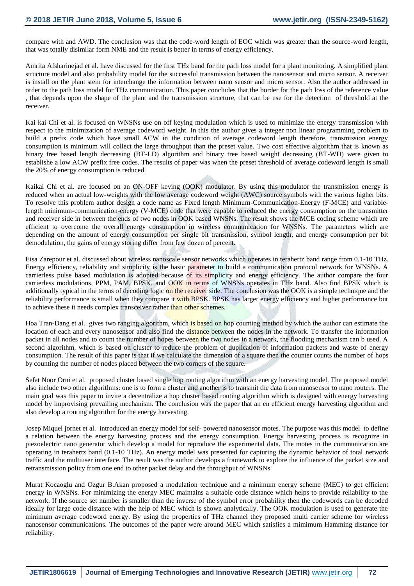compare with and AWD. The conclusion was that the code-word length of EOC which was greater than the source-word length, that was totally disimilar form NME and the result is better in terms of energy efficiency.

Amrita Afsharinejad et al. have discussed for the first THz band for the path loss model for a plant monitoring. A simplified plant structure model and also probability model for the successful transmission between the nanosensor and micro sensor. A receiver is install on the plant stem for interchange the information between nano sensor and micro sensor. Also the author addressed in order to the path loss model for THz communication. This paper concludes that the border for the path loss of the reference value , that depends upon the shape of the plant and the transmission structure, that can be use for the detection of threshold at the receiver.

Kai kai Chi et al. is focused on WNSNs use on off keying modulation which is used to minimize the energy transmission with respect to the minimization of average codeword weight. In this the author gives a integer non linear programming problem to build a prefix code which have small ACW in the condition of average codeword length therefore, transmission energy consumption is minimum will collect the large throughput than the preset value. Two cost effective algorithm that is known as binary tree based length decreasing (BT-LD) algorithm and binary tree based weight decreasing (BT-WD) were given to establishe a low ACW prefix free codes. The results of paper was when the preset threshold of average codeword length is small the 20% of energy consumption is reduced.

Kaikai Chi et al. are focused on an ON-OFF keying (OOK) modulator. By using this modulator the transmission energy is reduced when an actual low-weights with the low average codeword weight (AWC) source symbols with the various higher bits. To resolve this problem author design a code name as Fixed length Minimum-Communication-Energy (F-MCE) and variablelength minimum-communication-energy (V-MCE) code that were capable to reduced the energy consumption on the transmitter and receiver side in between the ends of two nodes in OOK based WNSNs. The result shows the MCE coding scheme which are efficient to overcome the overall energy consumption in wireless communication for WNSNs. The parameters which are depending on the amount of energy consumption per single bit transmission, symbol length, and energy consumption per bit demodulation, the gains of energy storing differ from few dozen of percent.

Eisa Zarepour et al. discussed about wireless nanoscale sensor networks which operates in terahertz band range from 0.1-10 THz. Energy efficiency, reliability and simplicity is the basic parameter to build a communication protocol network for WNSNs. A carrierless pulse based modulation is adopted because of its simplicity and energy efficiency. The author compare the four carrierless modulations, PPM, PAM, BPSK, and OOK in terms of WNSNs operates in THz band. Also find BPSK which is additionally typical in the terms of decoding logic on the receiver side. The conclusion was the OOK is a simple technique and the reliability performance is small when they compare it with BPSK. BPSK has larger energy efficiency and higher performance but to achieve these it needs complex transceiver rather than other schemes.

Hoa Tran-Dang et al. gives two ranging algorithm, which is based on hop counting method by which the author can estimate the location of each and every nanosensor and also find the distance between the nodes in the network. To transfer the information packet in all nodes and to count the number of hopes between the two nodes in a network, the flooding mechanism can b used. A second algorithm, which is based on cluster to reduce the problem of duplication of information packets and waste of energy consumption. The result of this paper is that if we calculate the dimension of a square then the counter counts the number of hops by counting the number of nodes placed between the two corners of the square.

Sefat Noor Orni et al. proposed cluster based single hop routing algorithm with an energy harvesting model. The proposed model also include two other algorithms: one is to form a cluster and another is to transmit the data from nanosensor to nano routers. The main goal was this paper to invite a decentralize a hop cluster based routing algorithm which is designed with energy harvesting model by improvising prevailing mechanism. The conclusion was the paper that an en efficient energy harvesting algorithm and also develop a routing algorithm for the energy harvesting.

Josep Miquel jornet et al. introduced an energy model for self- powered nanosensor motes. The purpose was this model to define a relation between the energy harvesting process and the energy consumption. Energy harvesting process is recognize in piezoelectric nano generator which develop a model for reproduce the experimental data. The motes in the communication are operating in terahertz band (0.1-10 THz). An energy model was presented for capturing the dynamic behavior of total network traffic and the multiuser interface. The result was the author develops a framework to explore the influence of the packet size and retransmission policy from one end to other packet delay and the throughput of WNSNs.

Murat Kocaoglu and Ozgur B.Akan proposed a modulation technique and a minimum energy scheme (MEC) to get efficient energy in WNSNs. For minimizing the energy MEC maintains a suitable code distance which helps to provide reliability to the network. If the source set number is smaller than the inverse of the symbol error probability then the codewords can be decoded ideally for large code distance with the help of MEC which is shown analytically. The OOK modulation is used to generate the minimum average codeword energy. By using the properties of THz channel they proposed multi carrier scheme for wireless nanosensor communications. The outcomes of the paper were around MEC which satisfies a mimimum Hamming distance for reliability.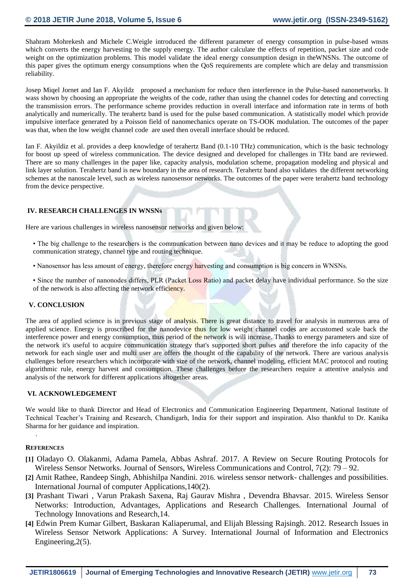Shahram Mohrekesh and Michele C.Weigle introduced the different parameter of energy consumption in pulse-based wnsns which converts the energy harvesting to the supply energy. The author calculate the effects of repetition, packet size and code weight on the optimization problems. This model validate the ideal energy consumption design in theWNSNs. The outcome of this paper gives the optimum energy consumptions when the QoS requirements are complete which are delay and transmission reliability.

Josep Miqel Jornet and Ian F. Akyildz proposed a mechanism for reduce then interference in the Pulse-based nanonetworks. It wass shown by choosing an appropriate the weights of the code, rather than using the channel codes for detecting and correcting the transmission errors. The performance scheme provides reduction in overall interface and information rate in terms of both analytically and numerically. The terahertz band is used for the pulse based communication. A statistically model which provide impulsive interface generated by a Poisson field of nanomechanics operate on TS-OOK modulation. The outcomes of the paper was that, when the low weight channel code are used then overall interface should be reduced.

Ian F. Akyildiz et al. provides a deep knowledge of terahertz Band (0.1-10 THz) communication, which is the basic technology for boost up speed of wireless communication. The device designed and developed for challenges in THz band are reviewed. There are so many challenges in the paper like, capacity analysis, modulation scheme, propagation modeling and physical and link layer solution. Terahertz band is new boundary in the area of research. Terahertz band also validates the different networking schemes at the nanoscale level, such as wireless nanosensor networks. The outcomes of the paper were terahertz band technology from the device perspective.

## **IV. RESEARCH CHALLENGES IN WNSNs**

Here are various challenges in wireless nanosensor networks and given below:

- The big challenge to the researchers is the communication between nano devices and it may be reduce to adopting the good communication strategy, channel type and routing technique.
- Nanosensor has less amount of energy, therefore energy harvesting and consumption is big concern in WNSNs.
- Since the number of nanonodes differs, PLR (Packet Loss Ratio) and packet delay have individual performance. So the size of the network is also affecting the network efficiency.

## **V. CONCLUSION**

The area of applied science is in previous stage of analysis. There is great distance to travel for analysis in numerous area of applied science. Energy is proscribed for the nanodevice thus for low weight channel codes are accustomed scale back the interference power and energy consumption, thus period of the network is will increase. Thanks to energy parameters and size of the network it's useful to acquire communication strategy that's supported short pulses and therefore the info capacity of the network for each single user and multi user are offers the thought of the capability of the network. There are various analysis challenges before researchers which incorporate with size of the network, channel modeling, efficient MAC protocol and routing algorithmic rule, energy harvest and consumption. These challenges before the researchers require a attentive analysis and analysis of the network for different applications altogether areas.

#### **VI. ACKNOWLEDGEMENT**

We would like to thank Director and Head of Electronics and Communication Engineering Department, National Institute of Technical Teacher's Training and Research, Chandigarh, India for their support and inspiration. Also thankful to Dr. Kanika Sharma for her guidance and inspiration.

## **REFERENCES**

.

- **[1]** Oladayo O. Olakanmi, Adama Pamela, Abbas Ashraf. 2017. A Review on Secure Routing Protocols for Wireless Sensor Networks. Journal of Sensors, Wireless Communications and Control, 7(2): 79 – 92.
- **[2]** Amit Rathee, Randeep Singh, Abhishilpa Nandini. 2016. wireless sensor network- challenges and possibilities. International Journal of computer Applications,140(2).
- **[3]** Prashant Tiwari , Varun Prakash Saxena, Raj Gaurav Mishra , Devendra Bhavsar. 2015. Wireless Sensor Networks: Introduction, Advantages, Applications and Research Challenges. International Journal of Technology Innovations and Research,14.
- **[4]** Edwin Prem Kumar Gilbert, Baskaran Kaliaperumal, and Elijah Blessing Rajsingh. 2012. Research Issues in Wireless Sensor Network Applications: A Survey. International Journal of Information and Electronics Engineering,2(5).